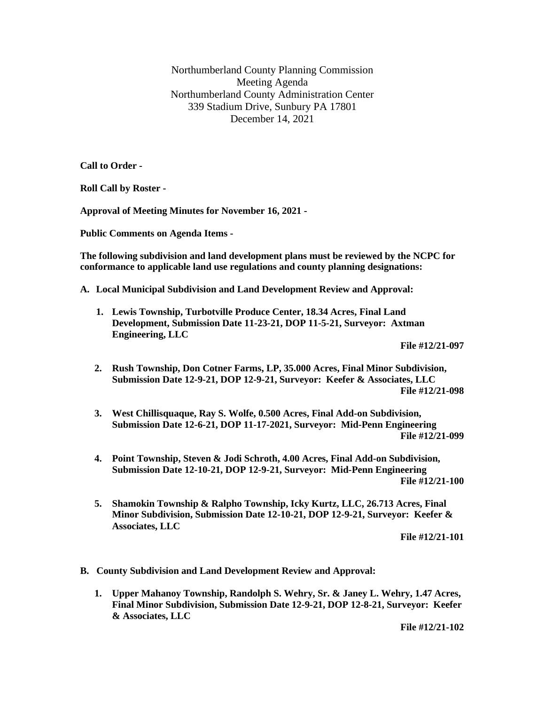Northumberland County Planning Commission Meeting Agenda Northumberland County Administration Center 339 Stadium Drive, Sunbury PA 17801 December 14, 2021

**Call to Order -**

**Roll Call by Roster -**

**Approval of Meeting Minutes for November 16, 2021 -**

**Public Comments on Agenda Items -**

**The following subdivision and land development plans must be reviewed by the NCPC for conformance to applicable land use regulations and county planning designations:**

**A. Local Municipal Subdivision and Land Development Review and Approval:**

**1. Lewis Township, Turbotville Produce Center, 18.34 Acres, Final Land Development, Submission Date 11-23-21, DOP 11-5-21, Surveyor: Axtman Engineering, LLC**

**File #12/21-097**

- **2. Rush Township, Don Cotner Farms, LP, 35.000 Acres, Final Minor Subdivision, Submission Date 12-9-21, DOP 12-9-21, Surveyor: Keefer & Associates, LLC File #12/21-098**
- **3. West Chillisquaque, Ray S. Wolfe, 0.500 Acres, Final Add-on Subdivision, Submission Date 12-6-21, DOP 11-17-2021, Surveyor: Mid-Penn Engineering File #12/21-099**
- **4. Point Township, Steven & Jodi Schroth, 4.00 Acres, Final Add-on Subdivision, Submission Date 12-10-21, DOP 12-9-21, Surveyor: Mid-Penn Engineering File #12/21-100**
- **5. Shamokin Township & Ralpho Township, Icky Kurtz, LLC, 26.713 Acres, Final Minor Subdivision, Submission Date 12-10-21, DOP 12-9-21, Surveyor: Keefer & Associates, LLC**

**File #12/21-101**

- **B. County Subdivision and Land Development Review and Approval:**
	- **1. Upper Mahanoy Township, Randolph S. Wehry, Sr. & Janey L. Wehry, 1.47 Acres, Final Minor Subdivision, Submission Date 12-9-21, DOP 12-8-21, Surveyor: Keefer & Associates, LLC**

**File #12/21-102**